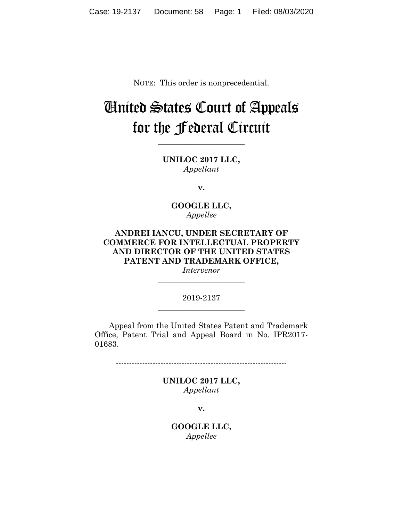NOTE: This order is nonprecedential.

# United States Court of Appeals for the Federal Circuit

**UNILOC 2017 LLC,** *Appellant*

**\_\_\_\_\_\_\_\_\_\_\_\_\_\_\_\_\_\_\_\_\_\_** 

**v.**

**GOOGLE LLC,** *Appellee*

**ANDREI IANCU, UNDER SECRETARY OF COMMERCE FOR INTELLECTUAL PROPERTY AND DIRECTOR OF THE UNITED STATES PATENT AND TRADEMARK OFFICE,** *Intervenor*

#### 2019-2137 **\_\_\_\_\_\_\_\_\_\_\_\_\_\_\_\_\_\_\_\_\_\_**

**\_\_\_\_\_\_\_\_\_\_\_\_\_\_\_\_\_\_\_\_\_\_** 

Appeal from the United States Patent and Trademark Office, Patent Trial and Appeal Board in No. IPR2017- 01683.

-----------------------------------------------------------------

**UNILOC 2017 LLC,** *Appellant*

**v.**

**GOOGLE LLC,** *Appellee*